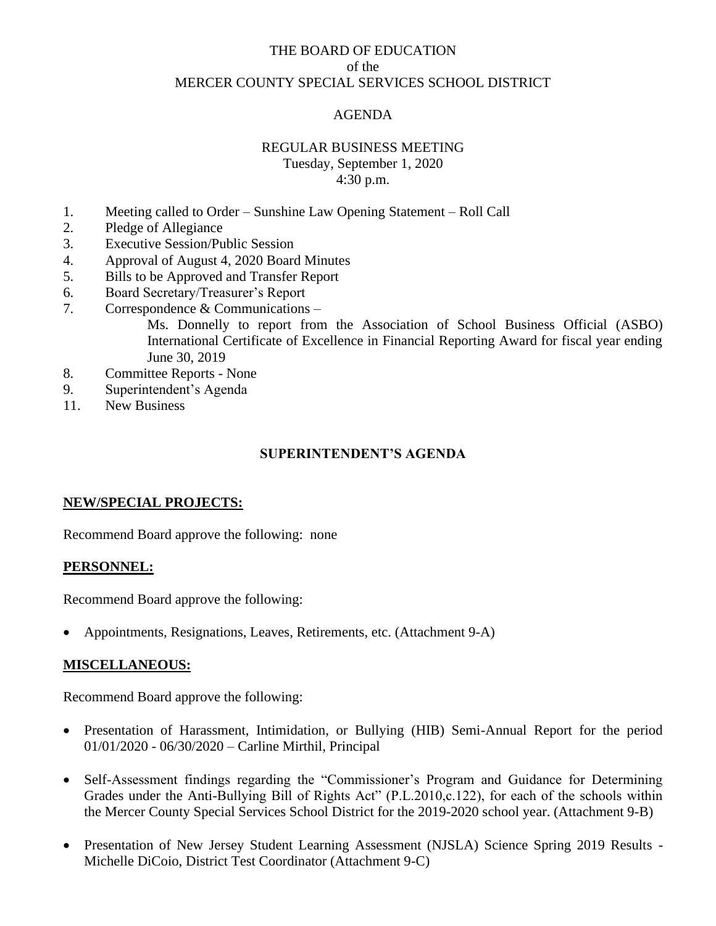# THE BOARD OF EDUCATION of the MERCER COUNTY SPECIAL SERVICES SCHOOL DISTRICT

# AGENDA

## REGULAR BUSINESS MEETING

Tuesday, September 1, 2020 4:30 p.m.

- 1. Meeting called to Order Sunshine Law Opening Statement Roll Call
- 2. Pledge of Allegiance
- 3. Executive Session/Public Session
- 4. Approval of August 4, 2020 Board Minutes
- 5. Bills to be Approved and Transfer Report
- 6. Board Secretary/Treasurer's Report
- 7. Correspondence & Communications –

Ms. Donnelly to report from the Association of School Business Official (ASBO) International Certificate of Excellence in Financial Reporting Award for fiscal year ending June 30, 2019

- 8. Committee Reports None
- 9. Superintendent's Agenda
- 11. New Business

#### **SUPERINTENDENT'S AGENDA**

## **NEW/SPECIAL PROJECTS:**

Recommend Board approve the following: none

#### **PERSONNEL:**

Recommend Board approve the following:

• Appointments, Resignations, Leaves, Retirements, etc. (Attachment 9-A)

#### **MISCELLANEOUS:**

Recommend Board approve the following:

- Presentation of Harassment, Intimidation, or Bullying (HIB) Semi-Annual Report for the period 01/01/2020 - 06/30/2020 – Carline Mirthil, Principal
- Self-Assessment findings regarding the "Commissioner's Program and Guidance for Determining Grades under the Anti-Bullying Bill of Rights Act" (P.L.2010,c.122), for each of the schools within the Mercer County Special Services School District for the 2019-2020 school year. (Attachment 9-B)
- Presentation of New Jersey Student Learning Assessment (NJSLA) Science Spring 2019 Results -Michelle DiCoio, District Test Coordinator (Attachment 9-C)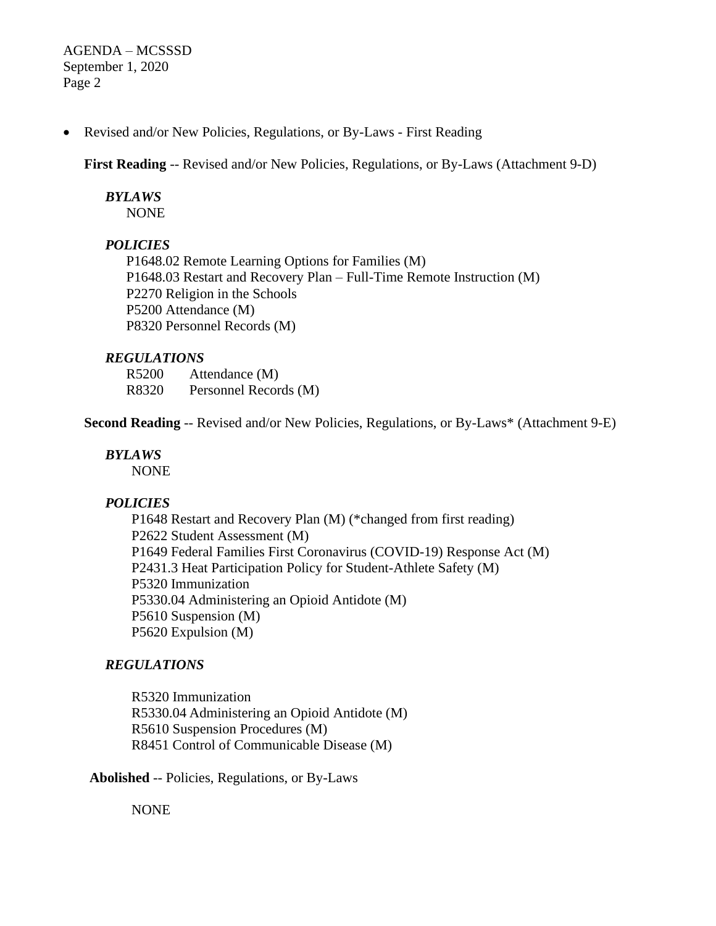AGENDA – MCSSSD September 1, 2020 Page 2

• Revised and/or New Policies, Regulations, or By-Laws - First Reading

**First Reading** -- Revised and/or New Policies, Regulations, or By-Laws (Attachment 9-D)

# *BYLAWS*

NONE

## *POLICIES*

P1648.02 Remote Learning Options for Families (M) P1648.03 Restart and Recovery Plan – Full-Time Remote Instruction (M) P2270 Religion in the Schools P5200 Attendance (M) P8320 Personnel Records (M)

## *REGULATIONS*

R5200 Attendance (M) R8320 Personnel Records (M)

**Second Reading** -- Revised and/or New Policies, Regulations, or By-Laws\* (Attachment 9-E)

#### *BYLAWS*

NONE

#### *POLICIES*

P1648 Restart and Recovery Plan (M) (\*changed from first reading) P2622 Student Assessment (M) P1649 Federal Families First Coronavirus (COVID-19) Response Act (M) P2431.3 Heat Participation Policy for Student-Athlete Safety (M) P5320 Immunization P5330.04 Administering an Opioid Antidote (M) P5610 Suspension (M) P5620 Expulsion (M)

# *REGULATIONS*

R5320 Immunization R5330.04 Administering an Opioid Antidote (M) R5610 Suspension Procedures (M) R8451 Control of Communicable Disease (M)

**Abolished** -- Policies, Regulations, or By-Laws

NONE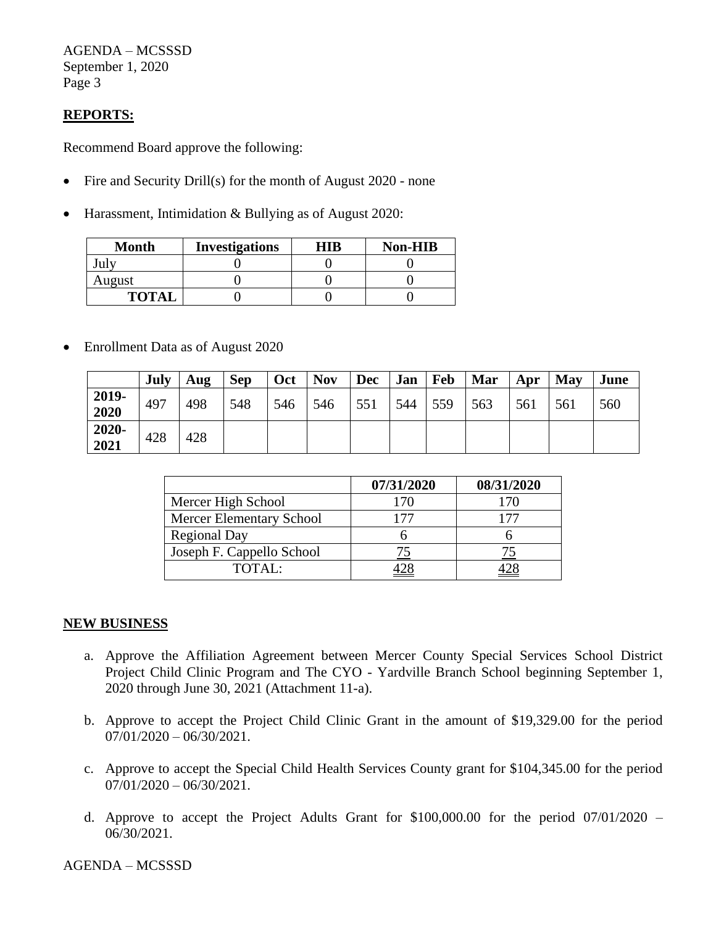AGENDA – MCSSSD September 1, 2020 Page 3

# **REPORTS:**

Recommend Board approve the following:

- Fire and Security Drill(s) for the month of August 2020 none
- Harassment, Intimidation & Bullying as of August 2020:

| <b>Month</b> | <b>Investigations</b> | HIR | Non-HIB |  |  |
|--------------|-----------------------|-----|---------|--|--|
|              |                       |     |         |  |  |
| August       |                       |     |         |  |  |
| <b>TOTAI</b> |                       |     |         |  |  |

• Enrollment Data as of August 2020

|               | July | Aug | <b>Sep</b> | Oct | <b>Nov</b> | <b>Dec</b> | Jan | Feb | Mar | Apr | May | June |
|---------------|------|-----|------------|-----|------------|------------|-----|-----|-----|-----|-----|------|
| 2019-<br>2020 | 497  | 498 | 548        | 546 | 546        | 551        | 544 | 559 | 563 | 561 | 561 | 560  |
| 2020-<br>2021 | 428  | 428 |            |     |            |            |     |     |     |     |     |      |

|                                 | 07/31/2020 | 08/31/2020 |
|---------------------------------|------------|------------|
| Mercer High School              | 170        |            |
| <b>Mercer Elementary School</b> |            |            |
| <b>Regional Day</b>             |            |            |
| Joseph F. Cappello School       |            |            |
| TOTAL:                          |            |            |

#### **NEW BUSINESS**

- a. Approve the Affiliation Agreement between Mercer County Special Services School District Project Child Clinic Program and The CYO - Yardville Branch School beginning September 1, 2020 through June 30, 2021 (Attachment 11-a).
- b. Approve to accept the Project Child Clinic Grant in the amount of \$19,329.00 for the period  $07/01/2020 - 06/30/2021$ .
- c. Approve to accept the Special Child Health Services County grant for \$104,345.00 for the period  $07/01/2020 - 06/30/2021$ .
- d. Approve to accept the Project Adults Grant for \$100,000.00 for the period 07/01/2020 06/30/2021.

AGENDA – MCSSSD